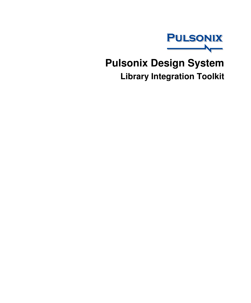

# **Pulsonix Design System Library Integration Toolkit**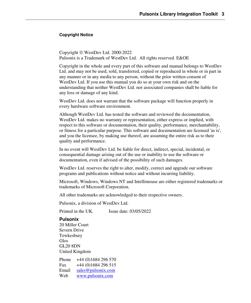#### **Copyright Notice**

Copyright  $\odot$  WestDev Ltd. 2000-2022 Pulsonix is a Trademark of WestDev Ltd. All rights reserved. E&OE

Copyright in the whole and every part of this software and manual belongs to WestDev Ltd. and may not be used, sold, transferred, copied or reproduced in whole or in part in any manner or in any media to any person, without the prior written consent of WestDev Ltd. If you use this manual you do so at your own risk and on the understanding that neither WestDev Ltd. nor associated companies shall be liable for any loss or damage of any kind.

WestDev Ltd. does not warrant that the software package will function properly in every hardware software environment.

Although WestDev Ltd. has tested the software and reviewed the documentation, WestDev Ltd. makes no warranty or representation, either express or implied, with respect to this software or documentation, their quality, performance, merchantability, or fitness for a particular purpose. This software and documentation are licensed 'as is', and you the licensee, by making use thereof, are assuming the entire risk as to their quality and performance.

In no event will WestDev Ltd. be liable for direct, indirect, special, incidental, or consequential damage arising out of the use or inability to use the software or documentation, even if advised of the possibility of such damages.

WestDev Ltd. reserves the right to alter, modify, correct and upgrade our software programs and publications without notice and without incurring liability.

Microsoft, Windows, Windows NT and Intellimouse are either registered trademarks or trademarks of Microsoft Corporation.

All other trademarks are acknowledged to their respective owners.

Pulsonix, a division of WestDev Ltd.

Printed in the UK. Issue date: 03/05/2022

#### **Pulsonix**

20 Miller Court Severn Drive Tewkesbury Glos GL20 8DN United Kingdom

Phone +44 (0)1684 296 570 Fax  $+44(0)1684296515$ Email sales@pulsonix.com Web www.pulsonix.com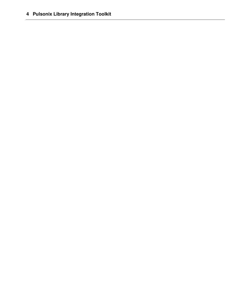## **4 Pulsonix Library Integration Toolkit**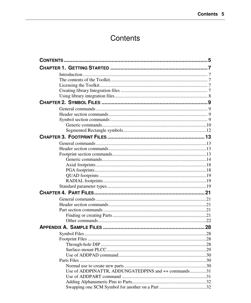## Contents

| Use of ADDPINATTR, ADDUNGATEDPINS and ++ commands31 |  |
|-----------------------------------------------------|--|
|                                                     |  |
|                                                     |  |
|                                                     |  |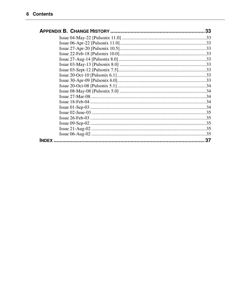|              | 33 |
|--------------|----|
|              |    |
|              |    |
|              |    |
|              |    |
|              |    |
|              |    |
|              |    |
|              |    |
|              |    |
|              |    |
|              |    |
|              |    |
|              |    |
|              |    |
|              |    |
|              |    |
|              |    |
|              |    |
|              |    |
| <b>INDFX</b> | 37 |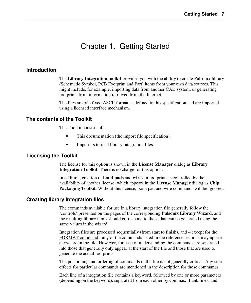## Chapter 1. Getting Started

## **Introduction**

The **Library Integration toolkit** provides you with the ability to create Pulsonix library (Schematic Symbol, PCB Footprint and Part) items from your own data sources. This might include, for example, importing data from another CAD system, or generating footprints from information retrieved from the Internet.

The files are of a fixed ASCII format as defined in this specification and are imported using a licensed interface mechanism.

## **The contents of the Toolkit**

The Toolkit consists of:

- This documentation (the import file specification).
- Importers to read library integration files.

## **Licensing the Toolkit**

The license for this option is shown in the **License Manager** dialog as **Library Integration Toolkit**. There is no charge for this option.

In addition, creation of **bond pads** and **wires** in footprints is controlled by the availability of another license, which appears in the **License Manager** dialog as **Chip Packaging Toolkit**. Without this license, bond pad and wire commands will be ignored.

## **Creating library Integration files**

The commands available for use in a library integration file generally follow the 'controls' presented on the pages of the corresponding **Pulsonix Library Wizard**, and the resulting library items should correspond to those that can be generated using the same values in the wizard.

Integration files are processed sequentially (from start to finish), and  $-$  except for the FORMAT command - any of the commands listed in the reference sections may appear anywhere in the file. However, for ease of understanding the commands are separated into those that generally only appear at the start of the file and those that are used to generate the actual footprints.

The positioning and ordering of commands in the file is not generally critical. Any sideeffects for particular commands are mentioned in the description for those commands.

Each line of a integration file contains a keyword, followed by one or more parameters (depending on the keyword), separated from each other by commas. Blank lines, and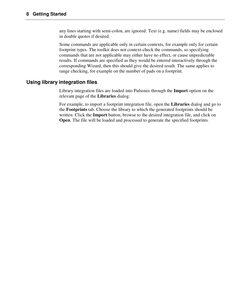any lines starting with semi-colon, are ignored. Text (e.g. name) fields may be enclosed in double quotes if desired.

Some commands are applicable only in certain contexts, for example only for certain footprint types. The toolkit does not context-check the commands, so specifying commands that are not applicable may either have no effect, or cause unpredictable results. If commands are specified as they would be entered interactively through the corresponding Wizard, then this should give the desired result. The same applies to range checking, for example on the number of pads on a footprint.

### **Using library integration files**

Library integration files are loaded into Pulsonix through the **Import** option on the relevant page of the **Libraries** dialog.

For example, to import a footprint integration file, open the **Libraries** dialog and go to the **Footprints** tab. Choose the library to which the generated footprints should be written. Click the **Import** button, browse to the desired integration file, and click on **Open**. The file will be loaded and processed to generate the specified footprints.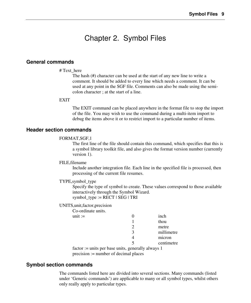## Chapter 2. Symbol Files

## **General commands**

#### # Text\_here

The hash (#) character can be used at the start of any new line to write a comment. It should be added to every line which needs a comment. It can be used at any point in the SGF file. Comments can also be made using the semicolon character ; at the start of a line.

#### EXIT

 The EXIT command can be placed anywhere in the format file to stop the import of the file. You may wish to use the command during a multi-item import to debug the items above it or to restrict import to a particular number of items.

## **Header section commands**

### FORMAT,SGF,1

The first line of the file should contain this command, which specifies that this is a symbol library toolkit file, and also gives the format version number (currently version 1).

#### FILE,filename

Include another integration file. Each line in the specified file is processed, then processing of the current file resumes.

#### TYPE,symbol\_type

Specify the type of symbol to create. These values correspond to those available interactively through the Symbol Wizard. symbol\_type :=  $RECT$  | SEG | TRI

#### UNITS,unit,factor,precision

|                             | inch       |
|-----------------------------|------------|
|                             | thou       |
| $\mathcal{D}_{\mathcal{L}}$ | metre      |
| κ                           | millimetre |
|                             | micron     |
|                             | centimetre |
|                             |            |

 $factor := units$  per base units, generally always 1 precision := number of decimal places

## **Symbol section commands**

The commands listed here are divided into several sections. Many commands (listed under 'Generic commands') are applicable to many or all symbol types, whilst others only really apply to particular types.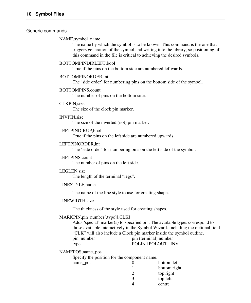#### Generic commands

#### NAME,symbol\_name

The name by which the symbol is to be known. This command is the one that triggers generation of the symbol and writing it to the library, so positioning of this command in the file is critical to achieving the desired symbols.

#### BOTTOMPINDIRLEFT,bool

True if the pins on the bottom side are numbered leftwards.

#### BOTTOMPINORDER,int

The 'side order' for numbering pins on the bottom side of the symbol.

#### BOTTOMPINS,count

The number of pins on the bottom side.

#### CLKPIN,size

The size of the clock pin marker.

#### INVPIN,size

The size of the inverted (not) pin marker.

#### LEFTPINDIRUP,bool

True if the pins on the left side are numbered upwards.

#### LEFTPINORDER,int

The 'side order' for numbering pins on the left side of the symbol.

#### LEFTPINS,count

The number of pins on the left side.

#### LEGLEN,size

The length of the terminal "legs".

#### LINESTYLE,name

The name of the line style to use for creating shapes.

#### LINEWIDTH,size

The thickness of the style used for creating shapes.

#### MARKPIN,pin\_number[,type][,CLK]

Adds 'special' marker(s) to specified pin. The available types correspond to those available interactively in the Symbol Wizard. Including the optional field "CLK" will also include a Clock pin marker inside the symbol outline. pin\_number pin (terminal) number type POLIN | POLOUT | INV

#### NAMEPOS,name\_pos

Specify the position for the component name.

| name_pos |   | bottom left  |
|----------|---|--------------|
|          |   | bottom right |
|          |   | top right    |
|          | 2 | top left     |
|          |   | centre       |
|          |   |              |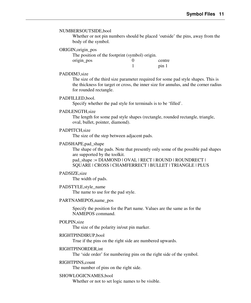#### NUMBERSOUTSIDE,bool

Whether or not pin numbers should be placed 'outside' the pins, away from the body of the symbol.

#### ORIGIN,origin\_pos

| The position of the footprint (symbol) origin. |                  |
|------------------------------------------------|------------------|
| origin_pos                                     | centre           |
|                                                | pin <sub>1</sub> |

#### PADDIM3,size

The size of the third size parameter required for some pad style shapes. This is the thickness for target or cross, the inner size for annulus, and the corner radius for rounded rectangle.

#### PADFILLED,bool.

Specify whether the pad style for terminals is to be 'filled'.

#### PADLENGTH,size

The length for some pad style shapes (rectangle, rounded rectangle, triangle, oval, bullet, pointer, diamond).

#### PADPITCH,size

The size of the step between adjacent pads.

#### PADSHAPE,pad\_shape

The shape of the pads. Note that presently only some of the possible pad shapes are supported by the toolkit. pad\_shape := DIAMOND | OVAL | RECT | ROUND | ROUNDRECT |

SQUARE | CROSS | CHAMFERRECT | BULLET | TRIANGLE | PLUS

#### PADSIZE,size

The width of pads.

#### PADSTYLE,style\_name

The name to use for the pad style.

#### PARTNAMEPOS,name\_pos

 Specify the position for the Part name. Values are the same as for the NAMEPOS command.

#### POLPIN,size

The size of the polarity in/out pin marker.

#### RIGHTPINDIRUP,bool

True if the pins on the right side are numbered upwards.

#### RIGHTPINORDER,int

The 'side order' for numbering pins on the right side of the symbol.

#### RIGHTPINS,count

The number of pins on the right side.

#### SHOWLOGICNAMES,bool

Whether or not to set logic names to be visible.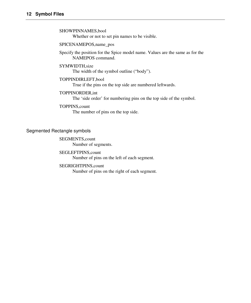#### SHOWPINNAMES,bool

Whether or not to set pin names to be visible.

#### SPICENAMEPOS,name\_pos

Specify the position for the Spice model name. Values are the same as for the NAMEPOS command.

#### SYMWIDTH,size

The width of the symbol outline ("body").

#### TOPPINDIRLEFT,bool

True if the pins on the top side are numbered leftwards.

#### TOPPINORDER,int

The 'side order' for numbering pins on the top side of the symbol.

#### TOPPINS,count

The number of pins on the top side.

#### Segmented Rectangle symbols

SEGMENTS,count Number of segments.

SEGLEFTPINS,count Number of pins on the left of each segment.

#### SEGRIGHTPINS,count

Number of pins on the right of each segment.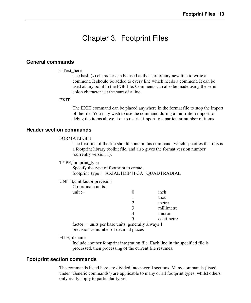## Chapter 3. Footprint Files

### **General commands**

#### # Text\_here

The hash (#) character can be used at the start of any new line to write a comment. It should be added to every line which needs a comment. It can be used at any point in the FGF file. Comments can also be made using the semicolon character ; at the start of a line.

#### EXIT

 The EXIT command can be placed anywhere in the format file to stop the import of the file. You may wish to use the command during a multi-item import to debug the items above it or to restrict import to a particular number of items.

## **Header section commands**

### FORMAT,FGF,1

The first line of the file should contain this command, which specifies that this is a footprint library toolkit file, and also gives the format version number (currently version 1).

#### TYPE,footprint\_type

Specify the type of footprint to create. footprint  $type := AXIAL | DIP | PGA | QUAD | RADIAL$ 

#### UNITS,unit,factor,precision

| Co-ordinate units.                      |                                                                                                                                                                                                                                    |              |           |   |                |              |            |
|-----------------------------------------|------------------------------------------------------------------------------------------------------------------------------------------------------------------------------------------------------------------------------------|--------------|-----------|---|----------------|--------------|------------|
| $unit :=$                               |                                                                                                                                                                                                                                    |              |           |   |                |              | inch       |
|                                         |                                                                                                                                                                                                                                    |              |           |   |                |              | thou       |
|                                         |                                                                                                                                                                                                                                    |              |           | 2 |                |              | metre      |
|                                         |                                                                                                                                                                                                                                    |              |           | 3 |                |              | millimetre |
|                                         |                                                                                                                                                                                                                                    |              |           |   |                |              | micron     |
|                                         |                                                                                                                                                                                                                                    |              |           |   |                |              | centimetre |
| $\sim$<br>the control of the control of | $\bullet$ . The contract of the contract of the contract of the contract of the contract of the contract of the contract of the contract of the contract of the contract of the contract of the contract of the contract of the co | $\mathbf{r}$ | $\bullet$ |   | $\blacksquare$ | $\mathbf{r}$ |            |

factor := units per base units, generally always 1 precision := number of decimal places

#### FILE,filename

Include another footprint integration file. Each line in the specified file is processed, then processing of the current file resumes.

## **Footprint section commands**

The commands listed here are divided into several sections. Many commands (listed under 'Generic commands') are applicable to many or all footprint types, whilst others only really apply to particular types.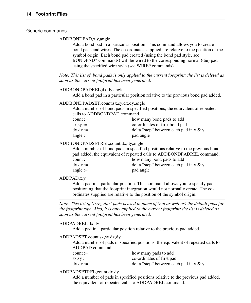#### Generic commands

#### ADDBONDPAD,x,y,angle

Add a bond pad in a particular position. This command allows you to create bond pads and wires. The co-ordinates supplied are relative to the position of the symbol origin. Each bond pad created (using the bond pad style, see BONDPAD\* commands) will be wired to the corresponding normal (die) pad using the specified wire style (see WIRE\* commands).

*Note: This list of bond pads is only applied to the current footprint; the list is deleted as soon as the current footprint has been generated.* 

#### ADDBONDPADREL,dx,dy,angle

Add a bond pad in a particular position relative to the previous bond pad added.

#### ADDBONDPADSET,count,sx,sy,dx,dy,angle

Add a number of bond pads in specified positions, the equivalent of repeated calls to ADDBONDPAD command.

| count :=       | how many bond pads to add                 |
|----------------|-------------------------------------------|
| $sx, sy :=$    | co-ordinates of first bond pad            |
| $dx$ , $dy :=$ | delta "step" between each pad in x $\&$ y |
| angle :=       | pad angle                                 |

#### ADDBONDPADSETREL,count,dx,dy,angle

Add a number of bond pads in specified positions relative to the previous bond pad added, the equivalent of repeated calls to ADDBONDPADREL command. count := how many bond pads to add

| count .—    | tiow many bond paus to auu                |
|-------------|-------------------------------------------|
| $dx, dy :=$ | delta "step" between each pad in x $\&$ y |
| angle :=    | pad angle                                 |

#### ADDPAD,x,y

Add a pad in a particular position. This command allows you to specify pad positioning that the footprint integration would not normally create. The coordinates supplied are relative to the position of the symbol origin.

*Note: This list of 'irregular' pads is used in place of (not as well as) the default pads for the footprint type. Also, it is only applied to the current footprint; the list is deleted as soon as the current footprint has been generated.* 

#### ADDPADREL,dx,dy

Add a pad in a particular position relative to the previous pad added.

#### ADDPADSET,count,sx,sy,dx,dy

Add a number of pads in specified positions, the equivalent of repeated calls to ADDPAD command.

| count :=       | how many pads to add                      |
|----------------|-------------------------------------------|
| $SX$ , $SV :=$ | co-ordinates of first pad                 |
| $dx$ , $dy :=$ | delta "step" between each pad in x $\&$ y |

#### ADDPADSETREL,count,dx,dy

Add a number of pads in specified positions relative to the previous pad added, the equivalent of repeated calls to ADDPADREL command.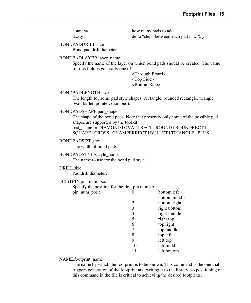count := how many pads to add  $dx, dy :=$  delta "step" between each pad in x & y

BONDPADDRILL,size

Bond pad drill diameter.

#### BONDPADLAYER,layer\_name

Specify the name of the layer on which bond pads should be created. The value for this field is generally one of:

> <Through Board> <Top Side> <Bottom Side>

#### BONDPADLENGTH,size

The length for some pad style shapes (rectangle, rounded rectangle, triangle, oval, bullet, pointer, diamond).

#### BONDPADSHAPE,pad\_shape

The shape of the bond pads. Note that presently only some of the possible pad shapes are supported by the toolkit.

pad\_shape := DIAMOND | OVAL | RECT | ROUND | ROUNDRECT | SQUARE | CROSS | CHAMFERRECT | BULLET | TRIANGLE | PLUS

#### BONDPADSIZE,size

The width of bond pads.

#### BONDPADSTYLE,style\_name

The name to use for the bond pad style.

#### DRILL,size

Pad drill diameter.

#### FIRSTPIN,pin\_num\_pos

Specify the position for the first pin number.

|    | bottom left   |
|----|---------------|
|    | bottom middle |
| 2  | bottom right  |
| 3  | right bottom  |
| 4  | right middle  |
| 5  | right top     |
| 6  | top right     |
|    | top middle    |
| 8  | top left      |
| 9  | left top      |
| 10 | left middle   |
|    | left bottom   |
|    |               |

#### NAME,footprint\_name

The name by which the footprint is to be known. This command is the one that triggers generation of the footprint and writing it to the library, so positioning of this command in the file is critical to achieving the desired footprints.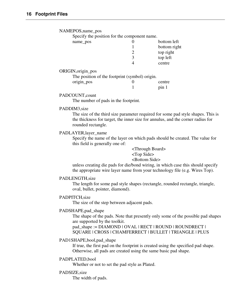#### NAMEPOS,name\_pos

Specify the position for the component name.

| name pos                                       |                             | bottom left  |
|------------------------------------------------|-----------------------------|--------------|
|                                                |                             | bottom right |
|                                                | $\mathcal{D}_{\mathcal{A}}$ | top right    |
|                                                | 3                           | top left     |
|                                                |                             | centre       |
| ORIGIN, origin_pos                             |                             |              |
| The position of the footprint (symbol) origin. |                             |              |
| origin_pos                                     |                             | centre       |
|                                                |                             |              |

1 pin 1

## PADCOUNT,count

The number of pads in the footprint.

#### PADDIM3,size

The size of the third size parameter required for some pad style shapes. This is the thickness for target, the inner size for annulus, and the corner radius for rounded rectangle.

#### PADLAYER,layer\_name

Specify the name of the layer on which pads should be created. The value for this field is generally one of:

## <Through Board> <Top Side>

#### <Bottom Side>

unless creating die pads for die/bond wiring, in which case this should specify the appropriate wire layer name from your technology file (e.g. Wires Top).

#### PADLENGTH,size

The length for some pad style shapes (rectangle, rounded rectangle, triangle, oval, bullet, pointer, diamond).

#### PADPITCH,size

The size of the step between adjacent pads.

#### PADSHAPE,pad\_shape

The shape of the pads. Note that presently only some of the possible pad shapes are supported by the toolkit.

pad\_shape := DIAMOND | OVAL | RECT | ROUND | ROUNDRECT | SQUARE | CROSS | CHAMFERRECT | BULLET | TRIANGLE | PLUS

#### PAD1SHAPE,bool,pad\_shape

If true, the first pad on the footprint is created using the specified pad shape. Otherwise, all pads are created using the same basic pad shape.

### PADPLATED,bool

Whether or not to set the pad style as Plated.

### PADSIZE,size

The width of pads.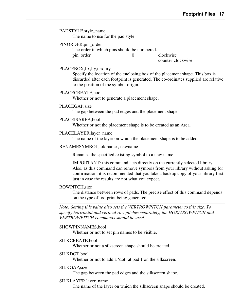#### PADSTYLE,style\_name

The name to use for the pad style.

#### PINORDER,pin\_order

The order in which pins should be numbered. pin order 0 clockwise 1 counter-clockwise

#### PLACEBOX,llx,lly,urx,ury

Specify the location of the enclosing box of the placement shape. This box is discarded after each footprint is generated. The co-ordinates supplied are relative to the position of the symbol origin.

#### PLACECREATE,bool

Whether or not to generate a placement shape.

#### PLACEGAP,size

The gap between the pad edges and the placement shape.

#### PLACEISAREA,bool

Whether or not the placement shape is to be created as an Area.

#### PLACELAYER,layer\_name

The name of the layer on which the placement shape is to be added.

#### RENAMESYMBOL, oldname , newname

Renames the specified existing symbol to a new name.

 IMPORTANT: this command acts directly on the currently selected library. Also, as this command can remove symbols from your library without asking for confirmation, it is recommended that you take a backup copy of your library first just in case the results are not what you expect.

#### ROWPITCH,size

The distance between rows of pads. The precise effect of this command depends on the type of footprint being generated.

*Note: Setting this value also sets the VERTROWPITCH parameter to this size. To specify horizontal and vertical row pitches separately, the HORIZROWPITCH and VERTROWPITCH commands should be used.* 

#### SHOWPINNAMES,bool

Whether or not to set pin names to be visible.

#### SILKCREATE,bool

Whether or not a silkscreen shape should be created.

#### SILKDOT,bool

Whether or not to add a 'dot' at pad 1 on the silkscreen.

#### SILKGAP,size

The gap between the pad edges and the silkscreen shape.

#### SILKLAYER,layer\_name

The name of the layer on which the silkscreen shape should be created.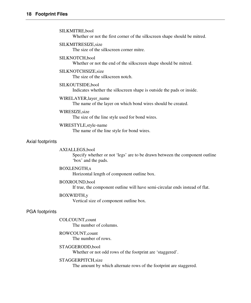#### SILKMITRE,bool

Whether or not the first corner of the silkscreen shape should be mitred.

#### SILKMITRESIZE,size

The size of the silkscreen corner mitre.

#### SILKNOTCH,bool

Whether or not the end of the silkscreen shape should be mitred.

#### SILKNOTCHSIZE,size

The size of the silkscreen notch.

#### SILKOUTSIDE,bool

Indicates whether the silkscreen shape is outside the pads or inside.

#### WIRELAYER,layer\_name

The name of the layer on which bond wires should be created.

#### WIRESIZE,size

The size of the line style used for bond wires.

#### WIRESTYLE,style-name

The name of the line style for bond wires.

#### Axial footprints

#### AXIALLEGS,bool

Specify whether or not 'legs' are to be drawn between the component outline 'box' and the pads.

#### BOXLENGTH,x

Horizontal length of component outline box.

### BOXROUND,bool

If true, the component outline will have semi-circular ends instead of flat.

#### BOXWIDTH,y

Vertical size of component outline box.

#### PGA footprints

COLCOUNT,count The number of columns.

#### ROWCOUNT,count

The number of rows.

#### STAGGERODD,bool

Whether or not odd rows of the footprint are 'staggered'.

#### STAGGERPITCH,size

The amount by which alternate rows of the footprint are staggered.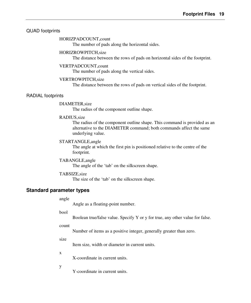#### QUAD footprints

#### HORIZPADCOUNT,count

The number of pads along the horizontal sides.

#### HORIZROWPITCH,size

The distance between the rows of pads on horizontal sides of the footprint.

#### VERTPADCOUNT,count

The number of pads along the vertical sides.

#### VERTROWPITCH,size

The distance between the rows of pads on vertical sides of the footprint.

#### RADIAL footprints

#### DIAMETER,size

The radius of the component outline shape.

#### RADIUS,size

The radius of the component outline shape. This command is provided as an alternative to the DIAMETER command; both commands affect the same underlying value.

#### STARTANGLE,angle

The angle at which the first pin is positioned relative to the centre of the footprint.

#### TABANGLE,angle

The angle of the 'tab' on the silkscreen shape.

#### TABSIZE,size

The size of the 'tab' on the silkscreen shape.

## **Standard parameter types**

#### angle

Angle as a floating-point number.

#### bool

Boolean true/false value. Specify Y or y for true, any other value for false.

#### count

Number of items as a positive integer, generally greater than zero.

#### size

Item size, width or diameter in current units.

#### x

X-coordinate in current units.

#### y

Y-coordinate in current units.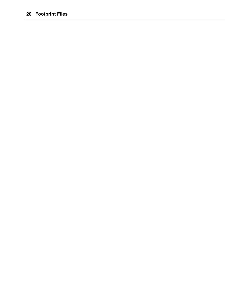## **20 Footprint Files**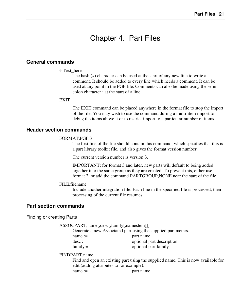## Chapter 4. Part Files

## **General commands**

#### # Text\_here

The hash (#) character can be used at the start of any new line to write a comment. It should be added to every line which needs a comment. It can be used at any point in the PGF file. Comments can also be made using the semicolon character ; at the start of a line.

#### EXIT

 The EXIT command can be placed anywhere in the format file to stop the import of the file. You may wish to use the command during a multi-item import to debug the items above it or to restrict import to a particular number of items.

## **Header section commands**

### FORMAT,PGF,3

The first line of the file should contain this command, which specifies that this is a part library toolkit file, and also gives the format version number.

The current version number is version 3.

 IMPORTANT: for format 3 and later, new parts will default to being added together into the same group as they are created. To prevent this, either use format 2, or add the command PARTGROUP,NONE near the start of the file.

#### FILE,filename

Include another integration file. Each line in the specified file is processed, then processing of the current file resumes.

### **Part section commands**

Finding or creating Parts

ASSOCPART,name[,desc[,family[,namestem]]]

Generate a new Associated part using the supplied parameters. name := part name desc := optional part description family:= optional part family

#### FINDPART,name

Find and open an existing part using the supplied name. This is now available for edit (adding attributes to for example).

name := part name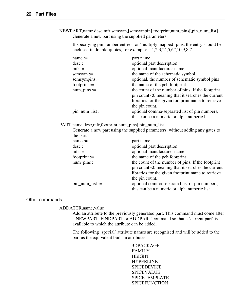NEWPART,name,desc,mfr,scmsym,[scmsympin],footprint,num\_pins[,pin\_num\_list] Generate a new part using the supplied parameters.

 If specifying pin number entries for 'multiply mapped' pins, the entry should be enclosed in double-quotes, for example: 1,2,3,"4,5,6",10,9,8,7

| $name :=$           | part name                                                                                                                                                    |
|---------------------|--------------------------------------------------------------------------------------------------------------------------------------------------------------|
| $desc :=$           | optional part description                                                                                                                                    |
| $mfr :=$            | optional manufacturer name                                                                                                                                   |
| scmsym $:=$         | the name of the schematic symbol                                                                                                                             |
| $s$ cmsympins:=     | optional, the number of schematic symbol pins                                                                                                                |
| footprint $:=$      | the name of the pcb footprint                                                                                                                                |
| $num\_pins :=$      | the count of the number of pins. If the footprint<br>pin count <0 meaning that it searches the current<br>libraries for the given footprint name to retrieve |
| $pin\_num\_list :=$ | the pin count.<br>optional comma-separated list of pin numbers,                                                                                              |
|                     | this can be a numeric or alphanumeric list.                                                                                                                  |

#### PART,name,desc,mfr,footprint,num\_pins[,pin\_num\_list]

Generate a new part using the supplied parameters, without adding any gates to the part.

| $name :=$           | part name                                          |
|---------------------|----------------------------------------------------|
| $desc :=$           | optional part description                          |
| $mfr :=$            | optional manufacturer name                         |
| footprint $:=$      | the name of the pcb footprint                      |
| $num\_pins :=$      | the count of the number of pins. If the footprint  |
|                     | pin count <0 meaning that it searches the current  |
|                     | libraries for the given footprint name to retrieve |
|                     | the pin count.                                     |
| $pin\_num\_list :=$ | optional comma-separated list of pin numbers,      |
|                     | this can be a numeric or alphanumeric list.        |
|                     |                                                    |

#### Other commands

ADDATTR,name,value

Add an attribute to the previously generated part. This command must come after a NEWPART, FINDPART or ADDPART command so that a 'current part' is available to which the attribute can be added.

 The following 'special' attribute names are recognised and will be added to the part as the equivalent built-in attributes:

> 3DPACKAGE FAMILY HEIGHT HYPERLINK SPICEDEVICE SPICEVALUE SPICETEMPLATE SPICEFUNCTION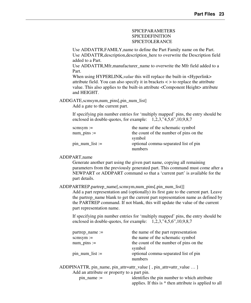## SPICEPARAMETERS **SPICEDEFINITION** SPICETOLERANCE

 Use ADDATTR,FAMILY,name to define the Part Family name on the Part. Use ADDATTR,description,description\_here to overwrite the Description field added to a Part.

Use ADDATTR,Mfr,manufacturer\_name to overwrite the Mfr field added to a Part.

When using HYPERLINK,*value* this will replace the built-in <Hyperlink> attribute field. You can also specify it in brackets  $\lt$   $>$  to replace the attribute value. This also applies to the built-in attribute <Component Height> attribute and HEIGHT.

ADDGATE,scmsym,num\_pins[,pin\_num\_list]

Add a gate to the current part.

 If specifying pin number entries for 'multiply mapped' pins, the entry should be enclosed in double-quotes, for example: 1,2,3,"4,5,6",10,9,8,7

| $scmsym :=$       | the name of the schematic symbol       |
|-------------------|----------------------------------------|
| $num\_pins :=$    | the count of the number of pins on the |
|                   | symbol                                 |
| $pin$ num list := | optional comma-separated list of pin   |
|                   | numbers                                |
|                   |                                        |

#### ADDPART,name

Generate another part using the given part name, copying all remaining parameters from the previously generated part. This command must come after a NEWPART or ADDPART command so that a 'current part' is available for the part details.

ADDPARTREP,partrep\_name[,scmsym,num\_pins[,pin\_num\_list]]

Add a part representation and (optionally) its first gate to the current part. Leave the partrep name blank to get the current part representation name as defined by the PARTREP command. If not blank, this will update the value of the current part representation name.

 If specifying pin number entries for 'multiply mapped' pins, the entry should be enclosed in double-quotes, for example: 1,2,3,"4,5,6",10,9,8,7

| $partrep_name :=$   | the name of the part representation    |
|---------------------|----------------------------------------|
| $scmsym :=$         | the name of the schematic symbol       |
| $num\_pins :=$      | the count of the number of pins on the |
|                     | symbol                                 |
| $pin\_num\_list :=$ | optional comma-separated list of pin   |
|                     | numbers                                |

ADDPINATTR, pin\_name, pin\_attr=attr\_value [, pin\_attr=attr\_value ... ] Add an attribute or property to a part pin.

> pin\_name := identifies the pin number to which attribute applies. If this is \* then attribute is applied to all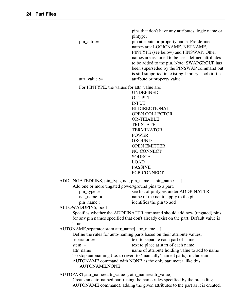|                                             | pins that don't have any attributes, logic name or    |
|---------------------------------------------|-------------------------------------------------------|
|                                             | pintype.                                              |
| $pin$ attr:=                                | pin attribute or property name. Pre-defined           |
|                                             | names are: LOGICNAME, NETNAME,                        |
|                                             | PINTYPE (see below) and PINSWAP. Other                |
|                                             | names are assumed to be user-defined attributes       |
|                                             | to be added to the pin. Note: SWAPGROUP has           |
|                                             | been superseded by the PINSWAP command but            |
|                                             | is still supported in existing Library Toolkit files. |
| attr value $:=$                             | attribute or property value                           |
| For PINTYPE, the values for attr_value are: |                                                       |
|                                             | UNDEFINED                                             |
|                                             |                                                       |

OUTPUT **INPUT** BI-DIRECTIONAL OPEN COLLECTOR OR-TIEABLE TRI-STATE **TERMINATOR** POWER GROUND OPEN EMITTER NO CONNECT **SOURCE** LOAD PASSIVE PCB CONNECT

ADDUNGATEDPINS, pin\_type, net, pin\_name [ , pin\_name … ]

| Add one or more ungated power/ground pins to a part. |                                       |  |
|------------------------------------------------------|---------------------------------------|--|
| $pin_type :=$                                        | see list of pintypes under ADDPINATTR |  |
| $net name :=$                                        | name of the net to apply to the pins  |  |
| $pin$ name :=                                        | identifies the pin to add             |  |

ALLOWADDPINS, bool

Specifies whether the ADDPINATTR command should add new (ungated) pins for any pin names specified that don't already exist on the part. Default value is True.

AUTONAME,separator,stem,attr\_name[,attr\_name…]

Define the rules for auto-naming parts based on their attribute values. separator := text to separate each part of name stem := text to place at start of each name attr\_name := name of attribute holding value to add to name To stop autonaming (i.e. to revert to 'manually' named parts), include an AUTONAME command with NONE as the only parameter, like this: AUTONAME,NONE

AUTOPART,attr\_name=attr\_value [, attr\_name=attr\_value] Create an auto-named part (using the name rules specified by the preceding AUTONAME command), adding the given attributes to the part as it is created.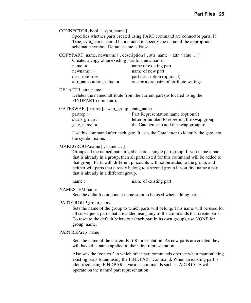#### CONNECTOR, bool [, sym\_name ]

Specifies whether parts created using PART command are connector parts. If True, sym\_name should be included to specify the name of the appropriate schematic symbol. Default value is False.

COPYPART, name, newname [ , description [ , attr\_name = attr\_value … ]

Creates a copy of an existing part to a new name.

| $name :=$                 | name of existing part                   |
|---------------------------|-----------------------------------------|
| newname :=                | name of new part                        |
| $\text{description} :=$   | part description (optional)             |
| attr name = attr value := | one or more pairs of attribute settings |

#### DELATTR, attr\_name

Deletes the named attribute from the current part (as located using the FINDPART command).

GATESWAP, [partrep], swap\_group , gate\_name

| $partrep :=$  | Part Representation name (optional)          |
|---------------|----------------------------------------------|
| swap_group := | letter or number to represent the swap group |
| gate_name :=  | the Gate letter to add the swap group to     |

 Use this command after each gate. It uses the Gate letter to identify the gate, not the symbol name.

#### MAKEGROUP, name [, name ... ]

Groups all the named parts together into a single part group. If you name a part that is already in a group, then all parts listed for this command will be added to that group. Parts with different pincounts will not be added to the group, and neither will parts that already belong to a second group if you first name a part that is already in a different group.

name := name of existing part

#### NAMESTEM,name

Sets the default component name stem to be used when adding parts.

#### PARTGROUP,group\_name

Sets the name of the group to which parts will belong. This name will be used for all subsequent parts that are added using any of the commands that create parts. To reset to the default behaviour (each part in its own group), use NONE for group\_name.

#### PARTREP,rep\_name

 Sets the name of the current Part Representation. As new parts are created they will have this name applied to their first representation.

 Also sets the 'context' in which other part commands operate when manipulating existing parts found using the FINDPART command. When an existing part is identified using FINDPART, various commands such as ADDGATE will operate on the named part representation.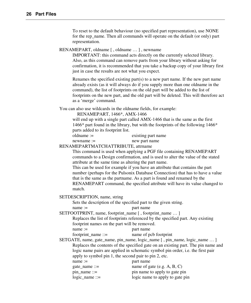To reset to the default behaviour (no specified part representation), use NONE for the rep\_name. Then all commands will operate on the default (or only) part representation.

RENAMEPART, oldname [, oldname ... ], newname

IMPORTANT: this command acts directly on the currently selected library. Also, as this command can remove parts from your library without asking for confirmation, it is recommended that you take a backup copy of your library first just in case the results are not what you expect.

 Renames the specified existing part(s) to a new part name. If the new part name already exists (as it will always do if you supply more than one oldname in the command), the list of footprints on the old part will be added to the list of footprints on the new part, and the old part will be deleted. This will therefore act as a 'merge' command.

You can also use wildcards in the oldname fields, for example:

RENAMEPART, 1466\*, AMX-1466

will end up with a single part called AMX-1466 that is the same as the first 1466\* part found in the library, but with the footprints of the following 1466\* parts added to its footprint list.

| oldname := | existing part name |
|------------|--------------------|
|            |                    |

newname := new part name

RENAMEPARTMATCHATTRIBUTE, attrname

This command is used when applying a PGF file containing RENAMEPART commands to a Design confirmation, and is used to alter the value of the stated attribute at the same time as altering the part name.

 This can be used for example if you have an attribute that contains the part number (perhaps for the Pulsonix Database Connection) that has to have a value that is the same as the partname. As a part is found and renamed by the RENAMEPART command, the specified attribute will have its value changed to match.

SETDESCRIPTION, name, string

Sets the description of the specified part to the given string.

name := part name

SETFOOTPRINT, name, footprint\_name [ , footprint\_name … ]

Replaces the list of footprints referenced by the specified part. Any existing footprint names on the part will be removed.

name := part name

footprint\_name ::= name of pcb footprint

SETGATE, name, gate\_name, pin\_name, logic\_name [ , pin\_name, logic\_name … ] Replaces the contents of the specified gate on an existing part. The pin name and logic name pairs are applied in schematic symbol pin order, i.e. the first pair apply to symbol pin 1, the second pair to pin 2, etc.

| $name :=$          | part name                       |
|--------------------|---------------------------------|
| gate name $\equiv$ | name of gate (e.g. $A, B, C$ )  |
| $pin\_name ::=$    | pin name to apply to gate pin   |
| logic name $ ::=$  | logic name to apply to gate pin |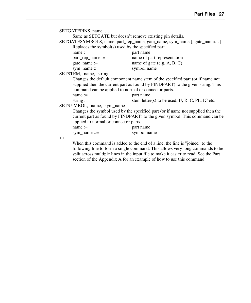SETGATEPINS, name, …

Same as SETGATE but doesn't remove existing pin details.

SETGATESYMBOLS, name, part\_rep\_name, gate\_name, sym\_name [, gate\_name…] Replaces the symbol(s) used by the specified part.

| $name :=$             | part name                      |
|-----------------------|--------------------------------|
| $part_{rep\_name} :=$ | name of part representation    |
| gate name: $=$        | name of gate (e.g. $A, B, C$ ) |
| sym_name ::=          | symbol name                    |

SETSTEM, [name,] string

Changes the default component name stem of the specified part (or if name not supplied then the current part as found by FINDPART) to the given string. This command can be applied to normal or connector parts.

| $name :=$   | part name                                          |
|-------------|----------------------------------------------------|
| string $:=$ | stem letter(s) to be used, $U, R, C, PL$ , IC etc. |

SETSYMBOL, [name,] sym\_name

Changes the symbol used by the specified part (or if name not supplied then the current part as found by FINDPART) to the given symbol. This command can be applied to normal or connector parts.

| $name :=$    | part name   |
|--------------|-------------|
| sym_name ::= | symbol name |

++

When this command is added to the end of a line, the line is "joined" to the following line to form a single command. This allows very long commands to be split across multiple lines in the input file to make it easier to read. See the Part section of the Appendix A for an example of how to use this command.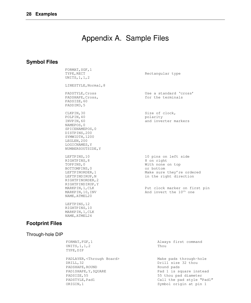## Appendix A. Sample Files

## **Symbol Files**

|                        | FORMAT, SGF, 1<br>TYPE, RECT<br>UNITS, 1, 1, 2                                                                                                                  | Rectangular type                                                                                                           |
|------------------------|-----------------------------------------------------------------------------------------------------------------------------------------------------------------|----------------------------------------------------------------------------------------------------------------------------|
|                        | LINESTYLE, Normal, 8                                                                                                                                            |                                                                                                                            |
|                        | PADSTYLE, Cross<br>PADSHAPE, Cross,<br>PADSIZE, 60<br>PADDIM3, 5                                                                                                | Use a standard 'cross'<br>for the terminals                                                                                |
|                        | CLKPIN, 30<br>POLPIN, 40<br>INVPIN, 60<br>NAMEPOS, 0<br>SPICENAMEPOS, 0<br>DISTPINS, 200<br>SYMWIDTH, 1200<br>LEGLEN, 200<br>LOGICNAMES, Y<br>NUMBERSOUTSIDE, Y | Size of clock,<br>polarity<br>and inverter markers                                                                         |
|                        | LEFTPINS, 10<br>RIGHTPINS, 8<br>TOPPINS, 0<br>BOTTOMPINS, 0<br>LEFTPINORDER, 1<br>LEFTPINDIRUP, N<br>RIGHTPINORDER, 2<br>RIGHTPINDIRUP, Y                       | 10 pins on left side<br>8 on right<br>With none on top<br>or bottom<br>Make sure they're ordered<br>in the right direction |
|                        | MARKPIN, 1, CLK<br>MARKPIN, 10, INV<br>NAME, ATMEL20                                                                                                            | Put clock marker on first pin<br>And invert the 10 <sup>th</sup> one                                                       |
|                        | LEFTPINS, 12<br>RIGHTPINS, 10<br>MARKPIN, 1, CLK<br>NAME, ATMEL24                                                                                               |                                                                                                                            |
| <b>Footprint Files</b> |                                                                                                                                                                 |                                                                                                                            |

Through-hole DIP

FORMAT, FGF, 1 and 1 always first command UNITS, 1, 1, 2 Thou TYPE, DIP PADLAYER,<Through Board> Make pads through-hole<br>
DRILL, 32 Drill size 32 thou Drill size 32 thou<br>Round pads PADSHAPE, ROUND<br>PAD1SHAPE, Y, SQUARE PAD1SHAPE, Y, SQUARE PAD1SHAPE, Pad 1 is square instead<br>PADSIZE, 55 55 thou pad diameter PADSTYLE, Pad1 Call the pad style "Pad1" ORIGIN,1 Symbol origin at pin 1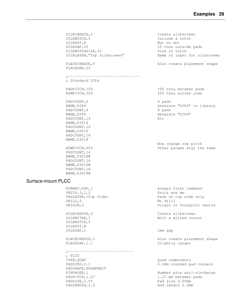SILKCREATE,Y Create silkscreen SILKNOTCH, Y GALLAND AND THE SILKNOTCH, Y SILKDOT, N
But no dot<br>SILKGAP, 25
8
But no dot<br>
25
thou ou<sup>1</sup>
25
25
25
29
8
But no dot SILKNOTCHSIZE, 25 Size of notch PLACEGAP,25 ;-------------------------------- ; Standard DIPs PADPITCH, 100 100 thou between pads ROWPITCH, 300 **300 300 thou across rows** PADCOUNT, 6 6 pads PADCOUNT, 8 8 pads NAME,DIP8 Generate "DIP8" PADCOUNT, 14 Etc NAME, DIP14 PADCOUNT, 16 NAME, DIP16 PADCOUNT,18 NAME, DIP18 ROWPITCH, 600 Cher params stay the same PADCOUNT,14 NAME, DIP14W PADCOUNT,16 NAME, DIP16W PADCOUNT, 18 NAME, DIP18W Surface-mount PLCC FORMAT, FGF, 1 and 1 and 1 always first command

UNITS, 3, 1, 2 Units are mm DRILL,0 No drill

SILKNOTCH,Y SILKDOT,N SILKGAP, 1 1mm gap

;----------------------------- ; PLCC TYPE, QUAD COMPONENT CONSUMING THE COMPONENT COMPONENT COMPONENT COMPONENT COMPONENT COMPONENT COMPONENT COMPONENT COMPONENT COMPONENT COMPONENT COMPONENT COMPONENT COMPONENT COMPONENT COMPONENT COMPONENT COMPONENT COMPONE PADSHAPE, ROUNDRECT

25 thou outside pads SILKLAYER,"Top Silkscreen" Name of layer for silkscreen PLACECREATE, Y Also create placement shape NAME, DIP6 Generate "DIP6" in library

Now change row pitch

PADLAYER,<Top Side> Pads on top side only ORIGIN,0 Origin in footprint centre

SILKCREATE,Y Create silkscreen SILKMITRE,Y With a mitred corner

PLACECREATE, Y Also create placement shape PLACEGAP, 1.1 Slightly larger

PADDIM3, 0.1 0.1mm rounded pad corners

PINORDER, 1 Number pins anti-clockwise PADPITCH, 1.27 1.27 mm between pads<br>PADSIZE, 0.55 2ad size 0.55mm Pad size 0.55mm PADLENGTH, 2.2 And length 2.2mm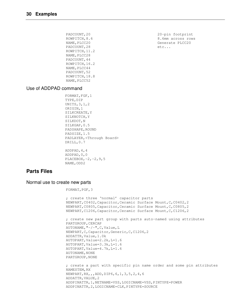PADCOUNT, 28 etc... ROWPITCH,11.2 NAME, PLCC28 PADCOUNT, 44 ROWPITCH,16.2 NAME,PLCC44 PADCOUNT, 52 ROWPITCH,18.8 NAME, PLCC52

### Use of ADDPAD command

FORMAT,FGF,1 TYPE,DIP UNITS,3,1,2 ORIGIN,1 SILKCREATE,Y SILKNOTCH,Y SILKDOT,N SILKGAP,0.5 PADSHAPE, ROUND PADSIZE,1.5 PADLAYER,<Through Board> DRILL,0.7

ADDPAD,4,4 ADDPAD,0,0 PLACEBOX,-2,-2,9,5 NAME, ODD2

## **Parts Files**

Normal use to create new parts

FORMAT, PGF, 3

```
; create three 'normal' capacitor parts 
NEWPART,C0402,Capacitor,Ceramic Surface Mount,C,C0402,2 
NEWPART,C0805,Capacitor,Ceramic Surface Mount,C,C0805,2 
NEWPART,C1206,Capacitor,Ceramic Surface Mount,C,C1206,2 
; create new part group with parts auto-named using attributes 
PARTGROUP, CERCAP
AUTONAME,"-/-",C,Value,L 
NEWPART,C,Capacitor,Generic,C,C1206,2 
ADDATTR,Value,1.0k 
AUTOPART,Value=2.2k,L=1.6 
AUTOPART,Value=3.3k,L=1.6 
AUTOPART,Value=4.7k,L=1.6 
AUTONAME, NONE
PARTGROUP, NONE
; create a part with specific pin name order and some pin attributes 
NAMESTEM,RX 
NEWPART,RX,,,ADD,DIP6,6,1,3,5,2,4,6 
ADDATTR,VALUE,2
```
ADDPINATTR,1,NETNAME=VSS,LOGICNAME=VSS,PINTYPE=POWER

ADDPINATTR,2,LOGICNAME=CLK,PINTYPE=SOURCE

PADCOUNT, 20 20-pin footprint ROWPITCH, 8.6 8.6 8.6mm across rows NAME,PLCC20 Generate PLCC20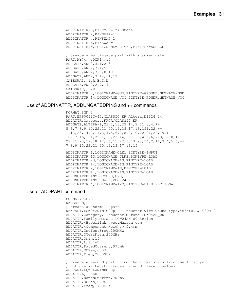```
ADDPINATTR,3,PINTYPE=Tri-State 
ADDPINATTR,2,PINSWAP=1 
ADDPINATTR,4,PINSWAP=1 
ADDPINATTR,6,PINSWAP=1 
ADDPINATTR,5,LOGICNAME=DRIVER,PINTYPE=SOURCE 
; Create a multi-gate part with a power gate 
PART,MY74,,,DIP14,14 
ADDGATE,AND2,3,1,2,3 
ADDGATE,AND2,3,4,5,6 
ADDGATE,AND2,3,9,8,10 
ADDGATE,AND2,3,12,11,13 
GATESWAP,,1,A,B,C,D 
ADDGATE,PWR2,2,7,14 
GATESWAP,,2,E 
ADDPINATTR, 7, LOGICNAME=GND, PINTYPE=GROUND, NETNAME=GND
ADDPINATTR, 14, LOGICNAME=VCC, PINTYPE=POWER, NETNAME=VCC
```
#### Use of ADDPINATTR, ADDUNGATEDPINS and ++ commands

FORMAT, PGF, 3 PART, EP600IPC-45, CLASSIC EP, Altera, DIP24, 24 ADDATTR,Category,FPGA/CLASSIC EP ADDGATE,ALTERA-1,22,1,13,23,14,2,11,3,4,++ 5,6,7,8,9,10,22,21,20,19,18,17,16,151,22,++ 1,13,23,14,2,11,3,4,5,6,7,8,9,10,22,21,20,19,++ 18,17,16,151,22,1,13,23,14,2,11,3,4,5,6,7,8,9,10,++ 22,21,20,19,18,17,16,11,22,1,13,23,14,2,11,3,4,5,6,++ 7,8,9,10,22,21,20,19,18,17,16,15

```
ADDPINATTR,1,LOGICNAME=CLK1,PINTYPE=INPUT
ADDPINATTR,13,LOGICNAME=CLK2,PINTYPE=LOAD
ADDPINATTR,23,LOGICNAME=IN,PINTYPE=LOAD
ADDPINATTR,14,LOGICNAME=IN,PINTYPE=LOAD
ADDPINATTR,2,LOGICNAME=IN,PINTYPE=LOAD
ADDPINATTR,11,LOGICNAME=IN,PINTYPE=LOAD
ADDUNGATEDPINS, GROUND, GND, 12
ADDUNGATEDPINS,POWER,VCC,24
ADDPINATTR,*,LOGICNAME=I/O,PINTYPE=BI-DIRECTIONAL
```
#### Use of ADDPART command

```
FORMAT,PGF,3
NAMESTEM, L
; create a 'normal' part
NEWPART, LQW04AN1N1C00p, RF Inductor wire wound type, Murata, L, L0804, 2
ADDATTR,Category, Inductor/Murata LQW04AN_00
ADDATTR,Family,Murata LQW04AN_00 Series
ADDATTR,<Hyperlink>,www.Murata.com
ADDATTR,<Component Height>,0.4mm
ADDATTR,IndTestFreq,100MHz
ADDATTR,QTestFreq,250MHz
ADDATTR,Qmin,15
ADDATTR,L,1.1nH
ADDATTR,RatedCurrent,990mA
ADDATTR,DCRes,0.03
ADDATTR,Freq,20.0GHz
; create a second part using characteristics from the first part
; but overwrite attributes using different values
```
ADDPART,LQW04AN1N8C00p ADDATT,L,1.8nH ADDATTR,RatedCurrent,700mA ADDATTR,DCRes,0.06 ADDATTR,Freq,17.0GHz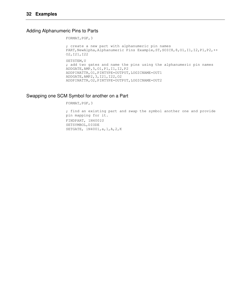## Adding Alphanumeric Pins to Parts

FORMAT,PGF,3

```
; create a new part with alphanumeric pin names
PART, NewAlpha, Alphanumeric Pins Example, ST, SOIC8, 8, 01, I1, I2, P1, P2, ++
O2,I21,I22 
SETSTEM, U
; add two gates and name the pins using the alphanumeric pin names
ADDGATE,AMP,5,O1,P1,I1,I2,P2
ADDPINATTR,O1,PINTYPE=OUTPUT,LOGICNAME=OUT1
ADDGATE,AMP2,3,I21,I22,O2
ADDPINATTR,O2,PINTYPE=OUTPUT,LOGICNAME=OUT2
```
## Swapping one SCM Symbol for another on a Part

FORMAT, PGF, 3

; find an existing part and swap the symbol another one and provide pin mapping for it. FINDPART, 1N4001U SETSYMBOL, DIODE SETGATE, 1N4001,a,1,A,2,K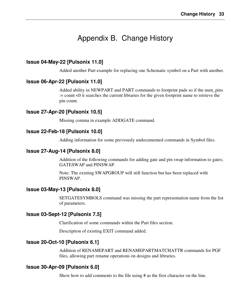## Appendix B. Change History

## **Issue 04-May-22 [Pulsonix 11.0]**

Added another Part example for replacing one Schematic symbol on a Part with another.

## **Issue 06-Apr-22 [Pulsonix 11.0]**

Added ability in NEWPART and PART commands to footprint pads so if the num\_pins := count <0 it searches the current libraries for the given footprint name to retrieve the pin count.

## **Issue 27-Apr-20 [Pulsonix 10.5]**

Missing comma in example ADDGATE command.

## **Issue 22-Feb-18 [Pulsonix 10.0]**

Adding information for some previously undocumented commands in Symbol files.

## **Issue 27-Aug-14 [Pulsonix 8.0]**

Addition of the following commands for adding gate and pin swap information to gates; GATESWAP and PINSWAP.

Note: The existing SWAPGROUP will still function but has been replaced with PINSWAP.

## **Issue 03-May-13 [Pulsonix 8.0]**

SETGATESYMBOLS command was missing the part representation name from the list of parameters.

## **Issue 03-Sept-12 [Pulsonix 7.5]**

Clarification of some commands within the Part files section.

Description of existing EXIT command added.

## **Issue 20-Oct-10 [Pulsonix 6.1]**

Addition of RENAMEPART and RENAMEPARTMATCHATTR commands for PGF files, allowing part rename operations on designs and libraries.

## **Issue 30-Apr-09 [Pulsonix 6.0]**

Show how to add comments to the file using # as the first character on the line.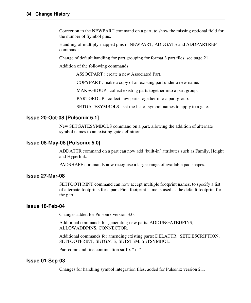Correction to the NEWPART command on a part, to show the missing optional field for the number of Symbol pins.

Handling of multiply-mapped pins in NEWPART, ADDGATE and ADDPARTREP commands.

Change of default handling for part grouping for format 3 part files, see page 21.

Addition of the following commands:

ASSOCPART : create a new Associated Part.

COPYPART : make a copy of an existing part under a new name.

MAKEGROUP : collect existing parts together into a part group.

PARTGROUP : collect new parts together into a part group.

SETGATESYMBOLS : set the list of symbol names to apply to a gate.

## **Issue 20-Oct-08 [Pulsonix 5.1]**

New SETGATESYMBOLS command on a part, allowing the addition of alternate symbol names to an existing gate definition.

### **Issue 08-May-08 [Pulsonix 5.0]**

ADDATTR command on a part can now add 'built-in' attributes such as Family, Height and Hyperlink.

PADSHAPE commands now recognise a larger range of available pad shapes.

#### **Issue 27-Mar-08**

SETFOOTPRINT command can now accept multiple footprint names, to specify a list of alternate footprints for a part. First footprint name is used as the default footprint for the part.

#### **Issue 18-Feb-04**

Changes added for Pulsonix version 3.0.

Additional commands for generating new parts: ADDUNGATEDPINS, ALLOWADDPINS, CONNECTOR,

Additional commands for amending existing parts: DELATTR, SETDESCRIPTION, SETFOOTPRINT, SETGATE, SETSTEM, SETSYMBOL.

Part command line continuation suffix "++"

#### **Issue 01-Sep-03**

Changes for handling symbol integration files, added for Pulsonix version 2.1.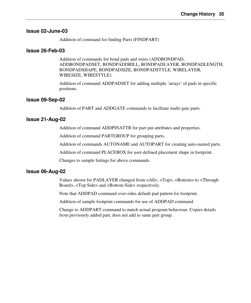## **Issue 02-June-03**

Addition of command for finding Parts (FINDPART)

## **Issue 26-Feb-03**

Addition of commands for bond pads and wires (ADDBONDPAD, ADDBONDPADSET, BONDPADDRILL, BONDPADLAYER, BONDPADLENGTH, BONDPADSHAPE, BONDPADSIZE, BONDPADSTYLE, WIRELAYER, WIRESIZE, WIRESTYLE).

Addition of command ADDPADSET for adding multiple 'arrays' of pads in specific positions.

## **Issue 09-Sep-02**

Addition of PART and ADDGATE commands to facilitate multi-gate parts.

## **Issue 21-Aug-02**

Addition of command ADDPINATTR for part pin attributes and properties.

Addition of command PARTGROUP for grouping parts.

Addition of commands AUTONAME and AUTOPART for creating auto-named parts.

Addition of command PLACEBOX for user-defined placement shape in footprint.

Changes to sample listings for above commands.

## **Issue 06-Aug-02**

Values shown for PADLAYER changed from <All>, <Top>, <Bottom> to <Through Board>, <Top Side> and <Bottom Side> respectively.

Note that ADDPAD command over-rides default pad pattern for footprint.

Addition of sample footprint commands for use of ADDPAD command.

Change to ADDPART command to match actual program behaviour. Copies details from previously added part, does not add to same part group.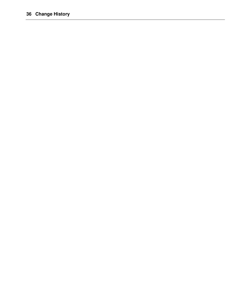## **36 Change History**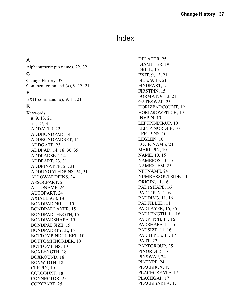## Index

## **A**

Alphanumeric pin names, 22, 32 **C** Change History, 33 Comment command (#), 9, 13, 21 **E** EXIT command (#), 9, 13, 21 **K** Keywords #, 9, 13, 21 ++, 27, 31 ADDATTR, 22 ADDBONDPAD, 14 ADDBONDPADSET, 14 ADDGATE, 23 ADDPAD, 14, 18, 30, 35 ADDPADSET, 14 ADDPART, 23, 31 ADDPINATTR, 23, 31 ADDUNGATEDPINS, 24, 31 ALLOWADDPINS, 24 ASSOCPART, 21 AUTONAME, 24 AUTOPART, 24 AXIALLEGS, 18 BONDPADDRILL, 15 BONDPADLAYER, 15 BONDPADLENGTH, 15 BONDPADSHAPE, 15 BONDPADSIZE, 15 BONDPADSTYLE, 15 BOTTOMPINDIRLEFT, 10 BOTTOMPINORDER, 10 BOTTOMPINS, 10 BOXLENGTH, 18 BOXROUND, 18 BOXWIDTH, 18 CLKPIN, 10 COLCOUNT, 18 CONNECTOR, 25 COPYPART, 25

DELATTR, 25 DIAMETER, 19 DRILL, 15 EXIT, 9, 13, 21 FILE, 9, 13, 21 FINDPART, 21 FIRSTPIN, 15 FORMAT, 9, 13, 21 GATESWAP, 25 HORIZPADCOUNT, 19 HORIZROWPITCH, 19 INVPIN, 10 LEFTPINDIRUP, 10 LEFTPINORDER, 10 LEFTPINS, 10 LEGLEN, 10 LOGICNAME, 24 MARKPIN, 10 NAME, 10, 15 NAMEPOS, 10, 16 NAMESTEM, 25 NETNAME, 24 NUMBERSOUTSIDE, 11 ORIGIN, 11, 16 PAD1SHAPE, 16 PADCOUNT, 16 PADDIM3, 11, 16 PADFILLED, 11 PADLAYER, 16, 35 PADLENGTH, 11, 16 PADPITCH, 11, 16 PADSHAPE, 11, 16 PADSIZE, 11, 16 PADSTYLE, 11, 17 PART, 22 PARTGROUP, 25 PINORDER, 17 PINSWAP, 24 PINTYPE, 24 PLACEBOX, 17 PLACECREATE, 17 PLACEGAP, 17 PLACEISAREA, 17